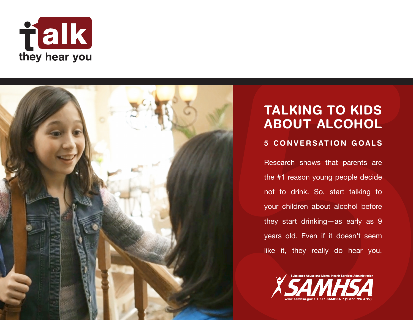



## TALKING TO KIDS ABOUT ALCOHOL

### 5 CONVERSATION GOALS

Research shows that parents are the #1 reason young people decide not to drink. So, start talking to your children about alcohol before they start drinking—as early as 9 years old. Even if it doesn't seem like it, they really do hear you.